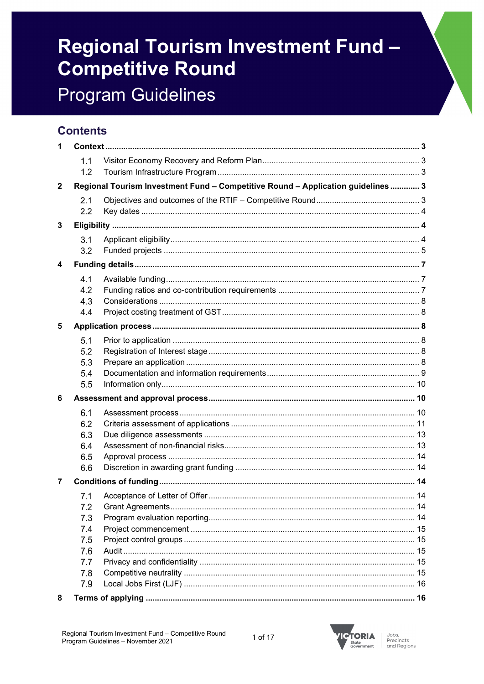# **Regional Tourism Investment Fund -Competitive Round Program Guidelines**

## **Contents**

| 1 |     |                                                                                  |  |
|---|-----|----------------------------------------------------------------------------------|--|
|   | 1.1 |                                                                                  |  |
|   | 1.2 |                                                                                  |  |
| 2 |     | Regional Tourism Investment Fund - Competitive Round - Application guidelines  3 |  |
|   | 2.1 |                                                                                  |  |
|   | 2.2 |                                                                                  |  |
| 3 |     |                                                                                  |  |
|   | 3.1 |                                                                                  |  |
|   | 3.2 |                                                                                  |  |
| 4 |     |                                                                                  |  |
|   | 4.1 |                                                                                  |  |
|   | 4.2 |                                                                                  |  |
|   | 4.3 |                                                                                  |  |
|   | 4.4 |                                                                                  |  |
| 5 |     |                                                                                  |  |
|   | 5.1 |                                                                                  |  |
|   | 5.2 |                                                                                  |  |
|   | 5.3 |                                                                                  |  |
|   | 5.4 |                                                                                  |  |
|   | 5.5 |                                                                                  |  |
| 6 |     |                                                                                  |  |
|   | 6.1 |                                                                                  |  |
|   | 6.2 |                                                                                  |  |
|   | 6.3 |                                                                                  |  |
|   | 6.4 |                                                                                  |  |
|   | 6.5 |                                                                                  |  |
|   | 6.6 |                                                                                  |  |
| 7 |     |                                                                                  |  |
|   | 7.1 |                                                                                  |  |
|   | 7.2 |                                                                                  |  |
|   | 7.3 |                                                                                  |  |
|   | 7.4 |                                                                                  |  |
|   | 7.5 |                                                                                  |  |
|   | 7.6 |                                                                                  |  |
|   | 7.7 |                                                                                  |  |
|   | 7.8 |                                                                                  |  |
|   | 7.9 |                                                                                  |  |
| 8 |     |                                                                                  |  |

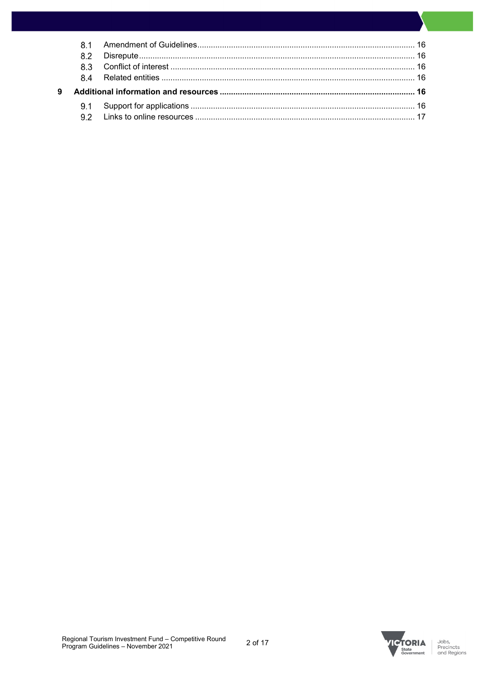|   | <b>81</b> |  |
|---|-----------|--|
|   |           |  |
|   |           |  |
|   |           |  |
| 9 |           |  |
|   |           |  |
|   |           |  |

Jobs,<br>Precincts<br>and Regions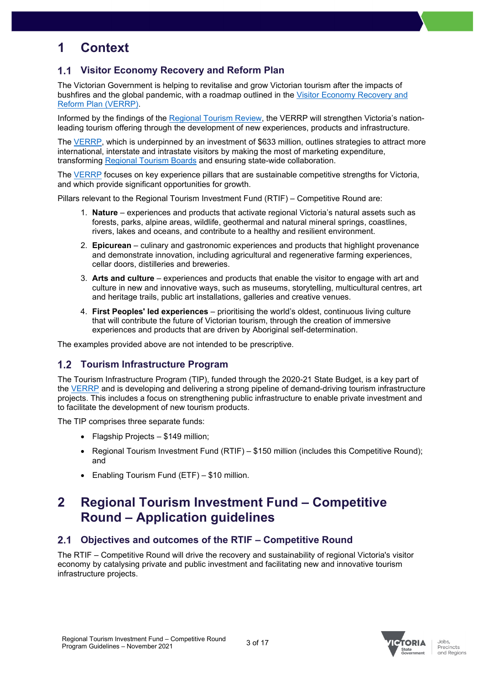## <span id="page-2-0"></span>**1 Context**

## <span id="page-2-1"></span>**Visitor Economy Recovery and Reform Plan**

The Victorian Government is helping to revitalise and grow Victorian tourism after the impacts of bushfires and the global pandemic, with a roadmap outlined in the [Visitor Economy Recovery and](https://djpr.vic.gov.au/significant-projects/visitor-economy-recovery-and-reform-plan) [Reform Plan](https://djpr.vic.gov.au/significant-projects/visitor-economy-recovery-and-reform-plan) (VERRP).

Informed by the findings of the [Regional Tourism Review,](https://djpr.vic.gov.au/significant-projects/visitor-economy-recovery-and-reform-plan) the VERRP will strengthen Victoria's nationleading tourism offering through the development of new experiences, products and infrastructure.

The [VERRP,](https://djpr.vic.gov.au/significant-projects/visitor-economy-recovery-and-reform-plan) which is underpinned by an investment of \$633 million, outlines strategies to attract more international, interstate and intrastate visitors by making the most of marketing expenditure, transforming [Regional Tourism Boards](https://business.vic.gov.au/business-information/tourism-industry-resources/tourism-industry-information/regional-tourism-organisations-and-representatives) and ensuring state-wide collaboration.

The [VERRP](https://djpr.vic.gov.au/significant-projects/visitor-economy-recovery-and-reform-plan) focuses on key experience pillars that are sustainable competitive strengths for Victoria, and which provide significant opportunities for growth.

Pillars relevant to the Regional Tourism Investment Fund (RTIF) – Competitive Round are:

- 1. **Nature** experiences and products that activate regional Victoria's natural assets such as forests, parks, alpine areas, wildlife, geothermal and natural mineral springs, coastlines, rivers, lakes and oceans, and contribute to a healthy and resilient environment.
- 2. **Epicurean** culinary and gastronomic experiences and products that highlight provenance and demonstrate innovation, including agricultural and regenerative farming experiences, cellar doors, distilleries and breweries.
- 3. **Arts and culture** experiences and products that enable the visitor to engage with art and culture in new and innovative ways, such as museums, storytelling, multicultural centres, art and heritage trails, public art installations, galleries and creative venues.
- 4. **First Peoples' led experiences** prioritising the world's oldest, continuous living culture that will contribute the future of Victorian tourism, through the creation of immersive experiences and products that are driven by Aboriginal self-determination.

The examples provided above are not intended to be prescriptive.

## <span id="page-2-2"></span>**Tourism Infrastructure Program**

The Tourism Infrastructure Program (TIP), funded through the 2020-21 State Budget, is a key part of the [VERRP](https://djpr.vic.gov.au/significant-projects/visitor-economy-recovery-and-reform-plan) and is developing and delivering a strong pipeline of demand-driving tourism infrastructure projects. This includes a focus on strengthening public infrastructure to enable private investment and to facilitate the development of new tourism products.

The TIP comprises three separate funds:

- Flagship Projects \$149 million;
- Regional Tourism Investment Fund (RTIF) \$150 million (includes this Competitive Round); and
- Enabling Tourism Fund (ETF) \$10 million.

## <span id="page-2-3"></span>**2 Regional Tourism Investment Fund – Competitive Round – Application guidelines**

#### <span id="page-2-4"></span>**Objectives and outcomes of the RTIF – Competitive Round**  $2.1$

The RTIF – Competitive Round will drive the recovery and sustainability of regional Victoria's visitor economy by catalysing private and public investment and facilitating new and innovative tourism infrastructure projects.

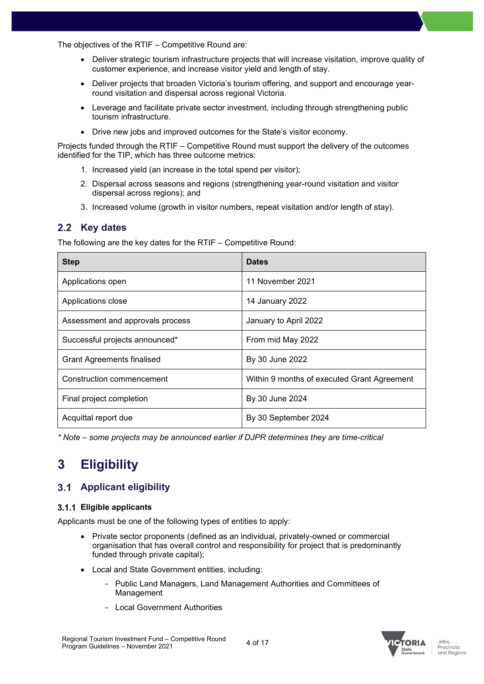The objectives of the RTIF – Competitive Round are:

- Deliver strategic tourism infrastructure projects that will increase visitation, improve quality of customer experience, and increase visitor yield and length of stay.
- Deliver projects that broaden Victoria's tourism offering, and support and encourage yearround visitation and dispersal across regional Victoria.
- Leverage and facilitate private sector investment, including through strengthening public tourism infrastructure.
- Drive new jobs and improved outcomes for the State's visitor economy.

Projects funded through the RTIF – Competitive Round must support the delivery of the outcomes identified for the TIP, which has three outcome metrics:

- 1. Increased yield (an increase in the total spend per visitor);
- 2. Dispersal across seasons and regions (strengthening year-round visitation and visitor dispersal across regions); and
- 3. Increased volume (growth in visitor numbers, repeat visitation and/or length of stay).

### <span id="page-3-0"></span>2.2 Key dates

The following are the key dates for the RTIF – Competitive Round:

| <b>Step</b>                       | <b>Dates</b>                                |
|-----------------------------------|---------------------------------------------|
| Applications open                 | 11 November 2021                            |
| Applications close                | 14 January 2022                             |
| Assessment and approvals process  | January to April 2022                       |
| Successful projects announced*    | From mid May 2022                           |
| <b>Grant Agreements finalised</b> | By 30 June 2022                             |
| Construction commencement         | Within 9 months of executed Grant Agreement |
| Final project completion          | By 30 June 2024                             |
| Acquittal report due              | By 30 September 2024                        |

*\* Note – some projects may be announced earlier if DJPR determines they are time-critical*

## <span id="page-3-1"></span>**3 Eligibility**

### <span id="page-3-2"></span>**Applicant eligibility**

#### **Eligible applicants**

Applicants must be one of the following types of entities to apply:

- Private sector proponents (defined as an individual, privately-owned or commercial organisation that has overall control and responsibility for project that is predominantly funded through private capital);
- Local and State Government entities, including:
	- *-* Public Land Managers, Land Management Authorities and Committees of Management
	- *-* Local Government Authorities

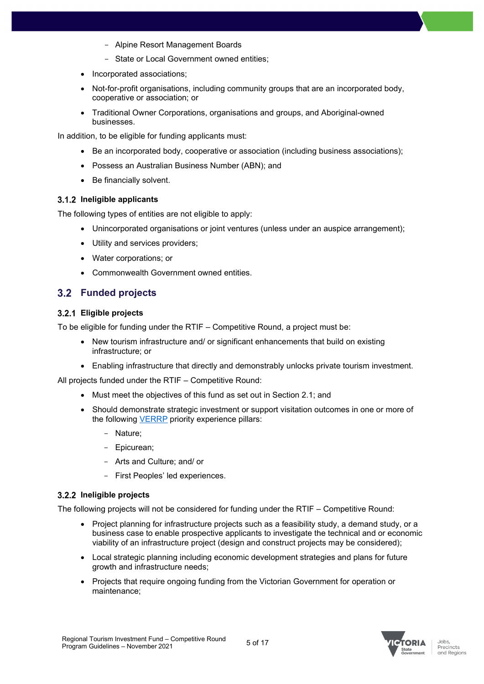- *-* Alpine Resort Management Boards
- *-* State or Local Government owned entities;
- Incorporated associations;
- Not-for-profit organisations, including community groups that are an incorporated body, cooperative or association; or
- Traditional Owner Corporations, organisations and groups, and Aboriginal-owned businesses.

In addition, to be eligible for funding applicants must:

- Be an incorporated body, cooperative or association (including business associations):
- Possess an Australian Business Number (ABN); and
- Be financially solvent.

#### **Ineligible applicants**

The following types of entities are not eligible to apply:

- Unincorporated organisations or joint ventures (unless under an auspice arrangement);
- Utility and services providers;
- Water corporations; or
- Commonwealth Government owned entities.

## <span id="page-4-0"></span>**Funded projects**

#### **Eligible projects**

To be eligible for funding under the RTIF – Competitive Round, a project must be:

- New tourism infrastructure and/ or significant enhancements that build on existing infrastructure; or
- Enabling infrastructure that directly and demonstrably unlocks private tourism investment.

All projects funded under the RTIF – Competitive Round:

- Must meet the objectives of this fund as set out in Section [2.1;](#page-2-4) and
- Should demonstrate strategic investment or support visitation outcomes in one or more of the following **[VERRP](https://djpr.vic.gov.au/significant-projects/visitor-economy-recovery-and-reform-plan)** priority experience pillars:
	- Nature;
	- Epicurean;
	- Arts and Culture; and/ or
	- First Peoples' led experiences.

#### **Ineligible projects**

The following projects will not be considered for funding under the RTIF – Competitive Round:

- Project planning for infrastructure projects such as a feasibility study, a demand study, or a business case to enable prospective applicants to investigate the technical and or economic viability of an infrastructure project (design and construct projects may be considered);
- Local strategic planning including economic development strategies and plans for future growth and infrastructure needs;
- Projects that require ongoing funding from the Victorian Government for operation or maintenance;

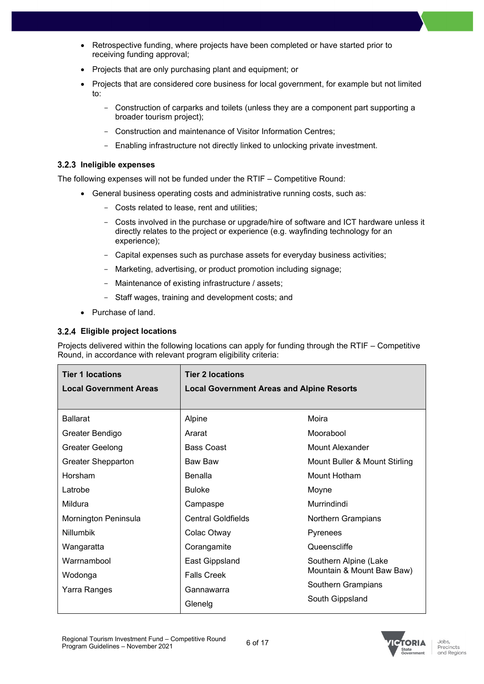- Retrospective funding, where projects have been completed or have started prior to receiving funding approval;
- Projects that are only purchasing plant and equipment; or
- Projects that are considered core business for local government, for example but not limited to:
	- Construction of carparks and toilets (unless they are a component part supporting a broader tourism project);
	- Construction and maintenance of Visitor Information Centres;
	- Enabling infrastructure not directly linked to unlocking private investment.

#### **Ineligible expenses**

The following expenses will not be funded under the RTIF – Competitive Round:

- General business operating costs and administrative running costs, such as:
	- Costs related to lease, rent and utilities;
	- Costs involved in the purchase or upgrade/hire of software and ICT hardware unless it directly relates to the project or experience (e.g. wayfinding technology for an experience);
	- Capital expenses such as purchase assets for everyday business activities;
	- Marketing, advertising, or product promotion including signage;
	- Maintenance of existing infrastructure / assets;
	- Staff wages, training and development costs; and
- Purchase of land.

#### **Eligible project locations**

Projects delivered within the following locations can apply for funding through the RTIF – Competitive Round, in accordance with relevant program eligibility criteria:

| <b>Tier 1 locations</b>       | <b>Tier 2 locations</b>                          |                               |
|-------------------------------|--------------------------------------------------|-------------------------------|
| <b>Local Government Areas</b> | <b>Local Government Areas and Alpine Resorts</b> |                               |
|                               |                                                  |                               |
| <b>Ballarat</b>               | Alpine                                           | Moira                         |
| Greater Bendigo               | Ararat                                           | Moorabool                     |
| Greater Geelong               | <b>Bass Coast</b>                                | Mount Alexander               |
| Greater Shepparton            | <b>Baw Baw</b>                                   | Mount Buller & Mount Stirling |
| Horsham                       | Benalla                                          | Mount Hotham                  |
| Latrobe                       | <b>Buloke</b>                                    | Moyne                         |
| Mildura                       | Campaspe                                         | Murrindindi                   |
| Mornington Peninsula          | <b>Central Goldfields</b>                        | Northern Grampians            |
| <b>Nillumbik</b>              | Colac Otway                                      | Pyrenees                      |
| Wangaratta                    | Corangamite                                      | Queenscliffe                  |
| Warrnambool                   | East Gippsland                                   | Southern Alpine (Lake         |
| Wodonga                       | <b>Falls Creek</b>                               | Mountain & Mount Baw Baw)     |
| Yarra Ranges                  | Gannawarra                                       | Southern Grampians            |
|                               | Glenelg                                          | South Gippsland               |

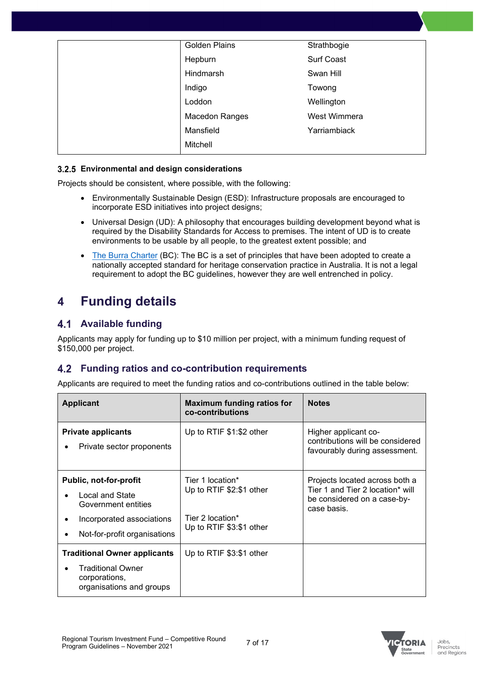| <b>Golden Plains</b>  | Strathbogie       |
|-----------------------|-------------------|
| Hepburn               | <b>Surf Coast</b> |
| Hindmarsh             | Swan Hill         |
| Indigo                | Towong            |
| Loddon                | Wellington        |
| <b>Macedon Ranges</b> | West Wimmera      |
| Mansfield             | Yarriambiack      |
| Mitchell              |                   |

#### **Environmental and design considerations**

Projects should be consistent, where possible, with the following:

- Environmentally Sustainable Design (ESD): Infrastructure proposals are encouraged to incorporate ESD initiatives into project designs;
- Universal Design (UD): A philosophy that encourages building development beyond what is required by the Disability Standards for Access to premises. The intent of UD is to create environments to be usable by all people, to the greatest extent possible; and
- [The Burra C](https://australia.icomos.org/publications/burra-charter-practice-notes/)harter (BC): The BC is a set of principles that have been adopted to create a nationally accepted standard for heritage conservation practice in Australia. It is not a legal requirement to adopt the BC guidelines, however they are well entrenched in policy.

## <span id="page-6-0"></span>**4 Funding details**

## <span id="page-6-1"></span>**4.1 Available funding**

Applicants may apply for funding up to \$10 million per project, with a minimum funding request of \$150,000 per project.

## <span id="page-6-2"></span>**Funding ratios and co-contribution requirements**

Applicants are required to meet the funding ratios and co-contributions outlined in the table below:

| <b>Applicant</b>                                                                                                              | Maximum funding ratios for<br>co-contributions                                               | <b>Notes</b>                                                                                                     |
|-------------------------------------------------------------------------------------------------------------------------------|----------------------------------------------------------------------------------------------|------------------------------------------------------------------------------------------------------------------|
| <b>Private applicants</b><br>Private sector proponents                                                                        | Up to RTIF \$1:\$2 other                                                                     | Higher applicant co-<br>contributions will be considered<br>favourably during assessment.                        |
| Public, not-for-profit<br>Local and State<br>Government entities<br>Incorporated associations<br>Not-for-profit organisations | Tier 1 location*<br>Up to RTIF \$2:\$1 other<br>Tier 2 location*<br>Up to RTIF \$3:\$1 other | Projects located across both a<br>Tier 1 and Tier 2 location* will<br>be considered on a case-by-<br>case basis. |
| <b>Traditional Owner applicants</b><br><b>Traditional Owner</b><br>corporations,<br>organisations and groups                  | Up to RTIF \$3:\$1 other                                                                     |                                                                                                                  |



**TORIA**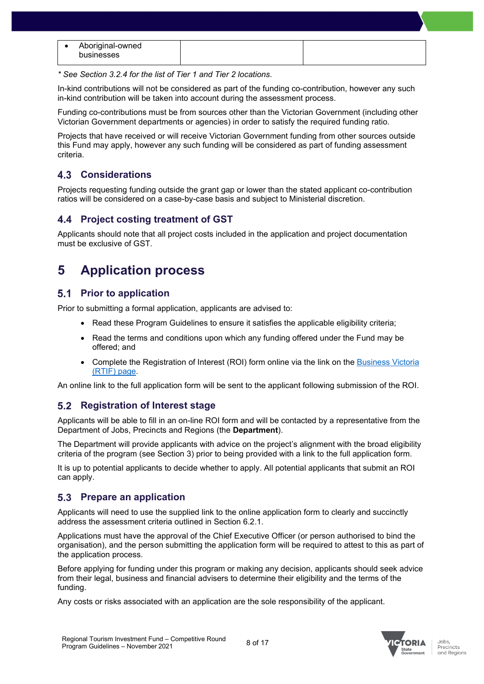| Aboriginal-owned  |  |
|-------------------|--|
| <b>businesses</b> |  |
|                   |  |

*\* See Section 3.2.4 for the list of Tier 1 and Tier 2 locations.*

In-kind contributions will not be considered as part of the funding co-contribution, however any such in-kind contribution will be taken into account during the assessment process.

Funding co-contributions must be from sources other than the Victorian Government (including other Victorian Government departments or agencies) in order to satisfy the required funding ratio.

Projects that have received or will receive Victorian Government funding from other sources outside this Fund may apply, however any such funding will be considered as part of funding assessment criteria.

## <span id="page-7-0"></span>**Considerations**

Projects requesting funding outside the grant gap or lower than the stated applicant co-contribution ratios will be considered on a case-by-case basis and subject to Ministerial discretion.

## <span id="page-7-1"></span>**Project costing treatment of GST**

Applicants should note that all project costs included in the application and project documentation must be exclusive of GST.

## <span id="page-7-2"></span>**5 Application process**

### <span id="page-7-3"></span>**5.1 Prior to application**

Prior to submitting a formal application, applicants are advised to:

- Read these Program Guidelines to ensure it satisfies the applicable eligibility criteria;
- Read the terms and conditions upon which any funding offered under the Fund may be offered; and
- Complete the Registration of Interest (ROI) form online via the link on the [Business Victoria](https://business.vic.gov.au/grants-and-programs/regional-tourism-investment-fund-competitive-round)  [\(RTIF\) page.](https://business.vic.gov.au/grants-and-programs/regional-tourism-investment-fund-competitive-round)

An online link to the full application form will be sent to the applicant following submission of the ROI.

## <span id="page-7-4"></span>**5.2 Registration of Interest stage**

Applicants will be able to fill in an on-line ROI form and will be contacted by a representative from the Department of Jobs, Precincts and Regions (the **Department**).

The Department will provide applicants with advice on the project's alignment with the broad eligibility criteria of the program (see Section 3) prior to being provided with a link to the full application form.

It is up to potential applicants to decide whether to apply. All potential applicants that submit an ROI can apply.

### <span id="page-7-5"></span>**5.3 Prepare an application**

Applicants will need to use the supplied link to the online application form to clearly and succinctly address the assessment criteria outlined in Section 6.2.1.

Applications must have the approval of the Chief Executive Officer (or person authorised to bind the organisation), and the person submitting the application form will be required to attest to this as part of the application process.

Before applying for funding under this program or making any decision, applicants should seek advice from their legal, business and financial advisers to determine their eligibility and the terms of the funding.

Any costs or risks associated with an application are the sole responsibility of the applicant.

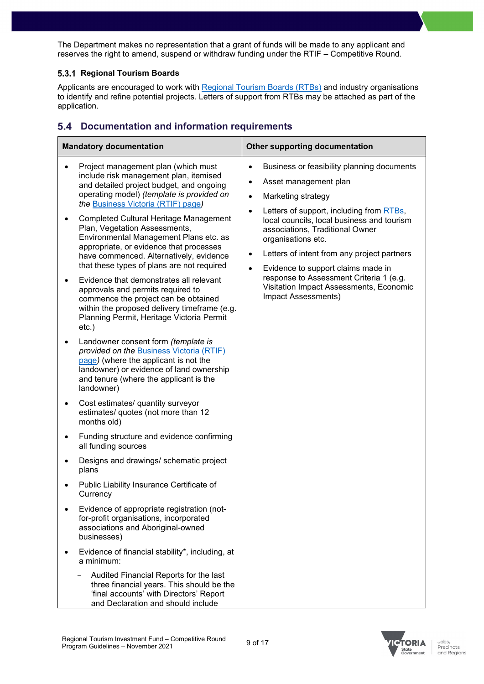The Department makes no representation that a grant of funds will be made to any applicant and reserves the right to amend, suspend or withdraw funding under the RTIF – Competitive Round.

#### **5.3.1 Regional Tourism Boards**

Applicants are encouraged to work with [Regional Tourism Boards \(RTBs\)](https://business.vic.gov.au/business-information/tourism-industry-resources/tourism-industry-information/regional-tourism-organisations-and-representatives) and industry organisations to identify and refine potential projects. Letters of support from RTBs may be attached as part of the application.

## <span id="page-8-0"></span>**Documentation and information requirements**

| <b>Mandatory documentation</b><br><b>Other supporting documentation</b>                                                                                                                                                                                                                                                                                                                                                                                                                                                                                                                                                                                                                                                                                                                                                                                                                                                                                                                                                                                                                                                                                                                                                                                                                                                                                               |                                                                                                                                                                                                                                                                                                                                                                                                                                                                               |
|-----------------------------------------------------------------------------------------------------------------------------------------------------------------------------------------------------------------------------------------------------------------------------------------------------------------------------------------------------------------------------------------------------------------------------------------------------------------------------------------------------------------------------------------------------------------------------------------------------------------------------------------------------------------------------------------------------------------------------------------------------------------------------------------------------------------------------------------------------------------------------------------------------------------------------------------------------------------------------------------------------------------------------------------------------------------------------------------------------------------------------------------------------------------------------------------------------------------------------------------------------------------------------------------------------------------------------------------------------------------------|-------------------------------------------------------------------------------------------------------------------------------------------------------------------------------------------------------------------------------------------------------------------------------------------------------------------------------------------------------------------------------------------------------------------------------------------------------------------------------|
| Project management plan (which must<br>include risk management plan, itemised<br>and detailed project budget, and ongoing<br>operating model) (template is provided on<br>the Business Victoria (RTIF) page)<br><b>Completed Cultural Heritage Management</b><br>Plan, Vegetation Assessments,<br>Environmental Management Plans etc. as<br>appropriate, or evidence that processes<br>have commenced. Alternatively, evidence<br>that these types of plans are not required<br>Evidence that demonstrates all relevant<br>approvals and permits required to<br>commence the project can be obtained<br>within the proposed delivery timeframe (e.g.<br>Planning Permit, Heritage Victoria Permit<br>$etc.$ )<br>Landowner consent form (template is<br>provided on the Business Victoria (RTIF)<br>page) (where the applicant is not the<br>landowner) or evidence of land ownership<br>and tenure (where the applicant is the<br>landowner)<br>Cost estimates/ quantity surveyor<br>estimates/ quotes (not more than 12<br>months old)<br>Funding structure and evidence confirming<br>all funding sources<br>Designs and drawings/ schematic project<br>plans<br>Public Liability Insurance Certificate of<br>Currency<br>Evidence of appropriate registration (not-<br>for-profit organisations, incorporated<br>associations and Aboriginal-owned<br>businesses) | Business or feasibility planning documents<br>$\bullet$<br>Asset management plan<br>Marketing strategy<br>Letters of support, including from RTBs,<br>$\bullet$<br>local councils, local business and tourism<br>associations, Traditional Owner<br>organisations etc.<br>Letters of intent from any project partners<br>٠<br>Evidence to support claims made in<br>response to Assessment Criteria 1 (e.g.<br>Visitation Impact Assessments, Economic<br>Impact Assessments) |
| Evidence of financial stability*, including, at<br>a minimum:<br>Audited Financial Reports for the last<br>three financial years. This should be the<br>'final accounts' with Directors' Report<br>and Declaration and should include                                                                                                                                                                                                                                                                                                                                                                                                                                                                                                                                                                                                                                                                                                                                                                                                                                                                                                                                                                                                                                                                                                                                 |                                                                                                                                                                                                                                                                                                                                                                                                                                                                               |

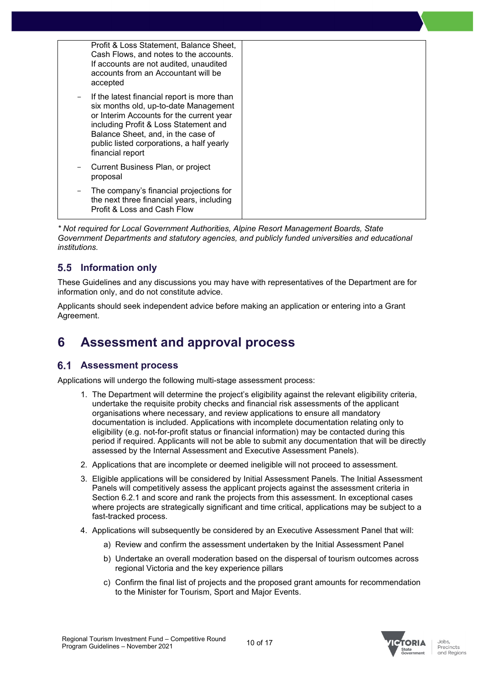|                   | Profit & Loss Statement, Balance Sheet,<br>Cash Flows, and notes to the accounts.<br>If accounts are not audited, unaudited<br>accounts from an Accountant will be<br>accepted                                                                                                   |
|-------------------|----------------------------------------------------------------------------------------------------------------------------------------------------------------------------------------------------------------------------------------------------------------------------------|
| $\qquad \qquad -$ | If the latest financial report is more than<br>six months old, up-to-date Management<br>or Interim Accounts for the current year<br>including Profit & Loss Statement and<br>Balance Sheet, and, in the case of<br>public listed corporations, a half yearly<br>financial report |
|                   | Current Business Plan, or project<br>proposal                                                                                                                                                                                                                                    |
| $\qquad \qquad -$ | The company's financial projections for<br>the next three financial years, including<br>Profit & Loss and Cash Flow                                                                                                                                                              |

*\* Not required for Local Government Authorities, Alpine Resort Management Boards, State Government Departments and statutory agencies, and publicly funded universities and educational institutions.*

## <span id="page-9-0"></span>**Information only**

These Guidelines and any discussions you may have with representatives of the Department are for information only, and do not constitute advice.

Applicants should seek independent advice before making an application or entering into a Grant Agreement.

## <span id="page-9-1"></span>**6 Assessment and approval process**

### <span id="page-9-2"></span>**Assessment process**

Applications will undergo the following multi-stage assessment process:

- 1. The Department will determine the project's eligibility against the relevant eligibility criteria, undertake the requisite probity checks and financial risk assessments of the applicant organisations where necessary, and review applications to ensure all mandatory documentation is included. Applications with incomplete documentation relating only to eligibility (e.g. not-for-profit status or financial information) may be contacted during this period if required. Applicants will not be able to submit any documentation that will be directly assessed by the Internal Assessment and Executive Assessment Panels).
- 2. Applications that are incomplete or deemed ineligible will not proceed to assessment.
- 3. Eligible applications will be considered by Initial Assessment Panels. The Initial Assessment Panels will competitively assess the applicant projects against the assessment criteria in Section 6.2.1 and score and rank the projects from this assessment. In exceptional cases where projects are strategically significant and time critical, applications may be subject to a fast-tracked process.
- 4. Applications will subsequently be considered by an Executive Assessment Panel that will:
	- a) Review and confirm the assessment undertaken by the Initial Assessment Panel
	- b) Undertake an overall moderation based on the dispersal of tourism outcomes across regional Victoria and the key experience pillars
	- c) Confirm the final list of projects and the proposed grant amounts for recommendation to the Minister for Tourism, Sport and Major Events.

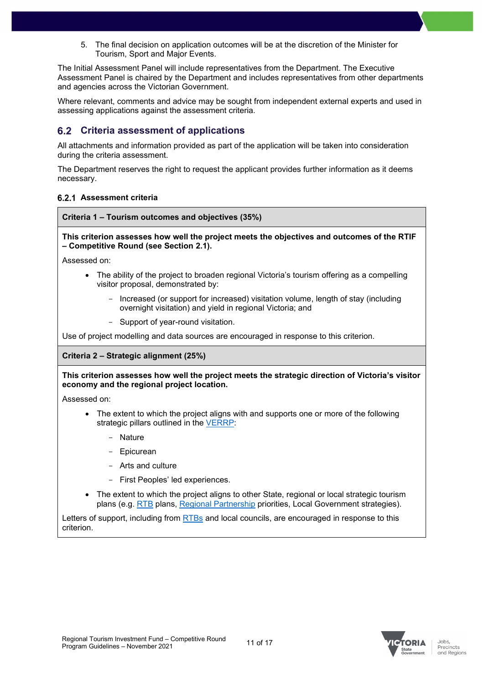5. The final decision on application outcomes will be at the discretion of the Minister for Tourism, Sport and Major Events.

The Initial Assessment Panel will include representatives from the Department. The Executive Assessment Panel is chaired by the Department and includes representatives from other departments and agencies across the Victorian Government.

Where relevant, comments and advice may be sought from independent external experts and used in assessing applications against the assessment criteria.

### <span id="page-10-0"></span>**Criteria assessment of applications**

All attachments and information provided as part of the application will be taken into consideration during the criteria assessment.

The Department reserves the right to request the applicant provides further information as it deems necessary.

#### **Assessment criteria**

**Criteria 1 – Tourism outcomes and objectives (35%)**

#### **This criterion assesses how well the project meets the objectives and outcomes of the RTIF – Competitive Round (see Section 2.1).**

Assessed on:

- The ability of the project to broaden regional Victoria's tourism offering as a compelling visitor proposal, demonstrated by:
	- Increased (or support for increased) visitation volume, length of stay (including overnight visitation) and yield in regional Victoria; and
	- Support of year-round visitation.

Use of project modelling and data sources are encouraged in response to this criterion.

#### **Criteria 2 – Strategic alignment (25%)**

#### **This criterion assesses how well the project meets the strategic direction of Victoria's visitor economy and the regional project location.**

Assessed on:

- The extent to which the project aligns with and supports one or more of the following strategic pillars outlined in the [VERRP:](https://djpr.vic.gov.au/significant-projects/visitor-economy-recovery-and-reform-plan)
	- **Nature**
	- **Epicurean**
	- Arts and culture
	- First Peoples' led experiences.
- The extent to which the project aligns to other State, regional or local strategic tourism plans (e.g. [RTB](https://business.vic.gov.au/business-information/tourism-industry-resources/tourism-industry-information/regional-tourism-organisations-and-representatives) plans, [Regional Partnership](https://www.rdv.vic.gov.au/regional-partnerships#:%7E:text=Regional%20Partnerships%20%26%20Engagement%20Victoria%E2%80%99s%20nine%20Regional%20Partnerships,the%20challenges%20and%20opportunities%20faced%20by%20their%20region.) priorities, Local Government strategies).

Letters of support, including from [RTBs](https://business.vic.gov.au/business-information/tourism-industry-resources/tourism-industry-information/regional-tourism-organisations-and-representatives) and local councils, are encouraged in response to this criterion.



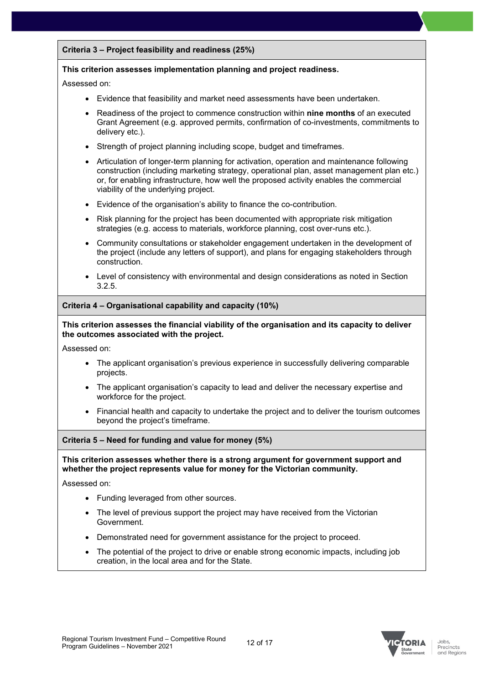#### **Criteria 3 – Project feasibility and readiness (25%)**

#### **This criterion assesses implementation planning and project readiness.**

Assessed on:

- Evidence that feasibility and market need assessments have been undertaken.
- Readiness of the project to commence construction within **nine months** of an executed Grant Agreement (e.g. approved permits, confirmation of co-investments, commitments to delivery etc.).
- Strength of project planning including scope, budget and timeframes.
- Articulation of longer-term planning for activation, operation and maintenance following construction (including marketing strategy, operational plan, asset management plan etc.) or, for enabling infrastructure, how well the proposed activity enables the commercial viability of the underlying project.
- Evidence of the organisation's ability to finance the co-contribution.
- Risk planning for the project has been documented with appropriate risk mitigation strategies (e.g. access to materials, workforce planning, cost over-runs etc.).
- Community consultations or stakeholder engagement undertaken in the development of the project (include any letters of support), and plans for engaging stakeholders through construction.
- Level of consistency with environmental and design considerations as noted in Section 3.2.5.

#### **Criteria 4 – Organisational capability and capacity (10%)**

**This criterion assesses the financial viability of the organisation and its capacity to deliver the outcomes associated with the project.**

Assessed on:

- The applicant organisation's previous experience in successfully delivering comparable projects.
- The applicant organisation's capacity to lead and deliver the necessary expertise and workforce for the project.
- Financial health and capacity to undertake the project and to deliver the tourism outcomes beyond the project's timeframe.

#### **Criteria 5 – Need for funding and value for money (5%)**

#### **This criterion assesses whether there is a strong argument for government support and whether the project represents value for money for the Victorian community.**

Assessed on:

- Funding leveraged from other sources.
- The level of previous support the project may have received from the Victorian Government.
- Demonstrated need for government assistance for the project to proceed.
- The potential of the project to drive or enable strong economic impacts, including job creation, in the local area and for the State.



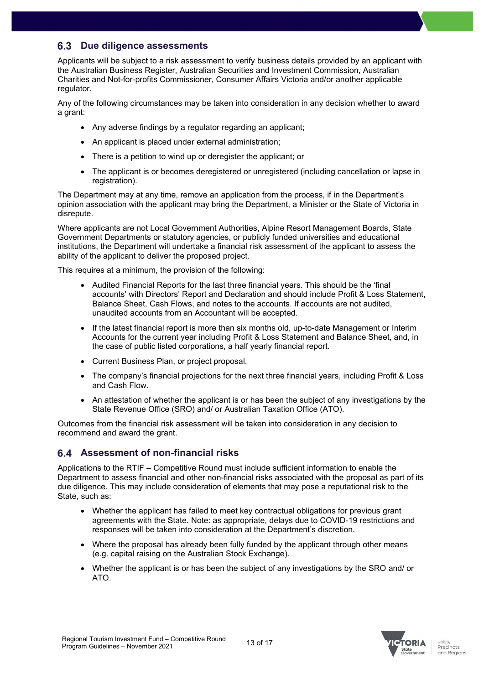## <span id="page-12-0"></span>**Due diligence assessments**

Applicants will be subject to a risk assessment to verify business details provided by an applicant with the Australian Business Register, Australian Securities and Investment Commission, Australian Charities and Not-for-profits Commissioner, Consumer Affairs Victoria and/or another applicable regulator.

Any of the following circumstances may be taken into consideration in any decision whether to award a grant:

- Any adverse findings by a regulator regarding an applicant;
- An applicant is placed under external administration;
- There is a petition to wind up or deregister the applicant; or
- The applicant is or becomes deregistered or unregistered (including cancellation or lapse in registration).

The Department may at any time, remove an application from the process, if in the Department's opinion association with the applicant may bring the Department, a Minister or the State of Victoria in disrepute.

Where applicants are not Local Government Authorities, Alpine Resort Management Boards, State Government Departments or statutory agencies, or publicly funded universities and educational institutions, the Department will undertake a financial risk assessment of the applicant to assess the ability of the applicant to deliver the proposed project.

This requires at a minimum, the provision of the following:

- Audited Financial Reports for the last three financial years. This should be the 'final accounts' with Directors' Report and Declaration and should include Profit & Loss Statement, Balance Sheet, Cash Flows, and notes to the accounts. If accounts are not audited, unaudited accounts from an Accountant will be accepted.
- If the latest financial report is more than six months old, up-to-date Management or Interim Accounts for the current year including Profit & Loss Statement and Balance Sheet, and, in the case of public listed corporations, a half yearly financial report.
- Current Business Plan, or project proposal.
- The company's financial projections for the next three financial years, including Profit & Loss and Cash Flow.
- An attestation of whether the applicant is or has been the subject of any investigations by the State Revenue Office (SRO) and/ or Australian Taxation Office (ATO).

Outcomes from the financial risk assessment will be taken into consideration in any decision to recommend and award the grant.

## <span id="page-12-1"></span>**Assessment of non-financial risks**

Applications to the RTIF – Competitive Round must include sufficient information to enable the Department to assess financial and other non-financial risks associated with the proposal as part of its due diligence. This may include consideration of elements that may pose a reputational risk to the State, such as:

- Whether the applicant has failed to meet key contractual obligations for previous grant agreements with the State. Note: as appropriate, delays due to COVID-19 restrictions and responses will be taken into consideration at the Department's discretion.
- Where the proposal has already been fully funded by the applicant through other means (e.g. capital raising on the Australian Stock Exchange).
- Whether the applicant is or has been the subject of any investigations by the SRO and/ or ATO.

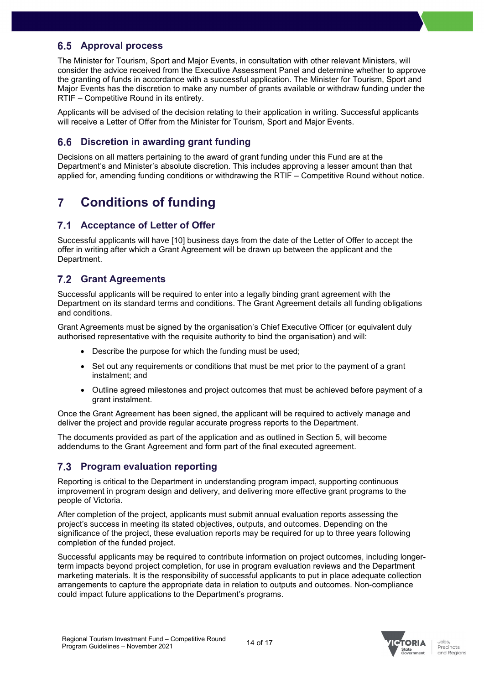## <span id="page-13-0"></span>**Approval process**

The Minister for Tourism, Sport and Major Events, in consultation with other relevant Ministers, will consider the advice received from the Executive Assessment Panel and determine whether to approve the granting of funds in accordance with a successful application. The Minister for Tourism, Sport and Major Events has the discretion to make any number of grants available or withdraw funding under the RTIF – Competitive Round in its entirety.

Applicants will be advised of the decision relating to their application in writing. Successful applicants will receive a Letter of Offer from the Minister for Tourism, Sport and Major Events.

## <span id="page-13-1"></span>**Discretion in awarding grant funding**

Decisions on all matters pertaining to the award of grant funding under this Fund are at the Department's and Minister's absolute discretion. This includes approving a lesser amount than that applied for, amending funding conditions or withdrawing the RTIF – Competitive Round without notice.

## <span id="page-13-2"></span>**7 Conditions of funding**

## <span id="page-13-3"></span>**Acceptance of Letter of Offer**

Successful applicants will have [10] business days from the date of the Letter of Offer to accept the offer in writing after which a Grant Agreement will be drawn up between the applicant and the Department.

## <span id="page-13-4"></span>**Grant Agreements**

Successful applicants will be required to enter into a legally binding grant agreement with the Department on its standard terms and conditions. The Grant Agreement details all funding obligations and conditions.

Grant Agreements must be signed by the organisation's Chief Executive Officer (or equivalent duly authorised representative with the requisite authority to bind the organisation) and will:

- Describe the purpose for which the funding must be used;
- Set out any requirements or conditions that must be met prior to the payment of a grant instalment; and
- Outline agreed milestones and project outcomes that must be achieved before payment of a grant instalment.

Once the Grant Agreement has been signed, the applicant will be required to actively manage and deliver the project and provide regular accurate progress reports to the Department.

The documents provided as part of the application and as outlined in Section 5, will become addendums to the Grant Agreement and form part of the final executed agreement.

## <span id="page-13-5"></span>**Program evaluation reporting**

Reporting is critical to the Department in understanding program impact, supporting continuous improvement in program design and delivery, and delivering more effective grant programs to the people of Victoria.

After completion of the project, applicants must submit annual evaluation reports assessing the project's success in meeting its stated objectives, outputs, and outcomes. Depending on the significance of the project, these evaluation reports may be required for up to three years following completion of the funded project.

Successful applicants may be required to contribute information on project outcomes, including longerterm impacts beyond project completion, for use in program evaluation reviews and the Department marketing materials. It is the responsibility of successful applicants to put in place adequate collection arrangements to capture the appropriate data in relation to outputs and outcomes. Non-compliance could impact future applications to the Department's programs.

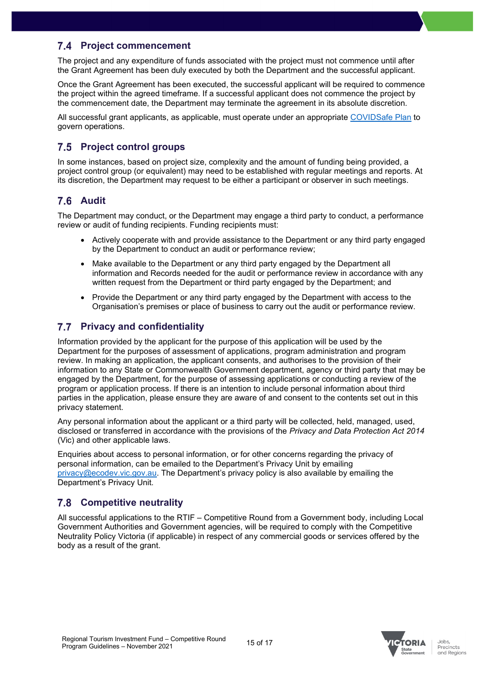## <span id="page-14-0"></span>**Project commencement**

The project and any expenditure of funds associated with the project must not commence until after the Grant Agreement has been duly executed by both the Department and the successful applicant.

Once the Grant Agreement has been executed, the successful applicant will be required to commence the project within the agreed timeframe. If a successful applicant does not commence the project by the commencement date, the Department may terminate the agreement in its absolute discretion.

All successful grant applicants, as applicable, must operate under an appropriate [COVIDSafe Plan](https://www.coronavirus.vic.gov.au/covidsafe-plan) to govern operations.

## <span id="page-14-1"></span>**Project control groups**

In some instances, based on project size, complexity and the amount of funding being provided, a project control group (or equivalent) may need to be established with regular meetings and reports. At its discretion, the Department may request to be either a participant or observer in such meetings.

## <span id="page-14-2"></span>**Audit**

The Department may conduct, or the Department may engage a third party to conduct, a performance review or audit of funding recipients. Funding recipients must:

- Actively cooperate with and provide assistance to the Department or any third party engaged by the Department to conduct an audit or performance review;
- Make available to the Department or any third party engaged by the Department all information and Records needed for the audit or performance review in accordance with any written request from the Department or third party engaged by the Department; and
- Provide the Department or any third party engaged by the Department with access to the Organisation's premises or place of business to carry out the audit or performance review.

## <span id="page-14-3"></span>**Privacy and confidentiality**

Information provided by the applicant for the purpose of this application will be used by the Department for the purposes of assessment of applications, program administration and program review. In making an application, the applicant consents, and authorises to the provision of their information to any State or Commonwealth Government department, agency or third party that may be engaged by the Department, for the purpose of assessing applications or conducting a review of the program or application process. If there is an intention to include personal information about third parties in the application, please ensure they are aware of and consent to the contents set out in this privacy statement.

Any personal information about the applicant or a third party will be collected, held, managed, used, disclosed or transferred in accordance with the provisions of the *Privacy and Data Protection Act 2014* (Vic) and other applicable laws.

Enquiries about access to personal information, or for other concerns regarding the privacy of personal information, can be emailed to the Department's Privacy Unit by emailing [privacy@ecodev.vic.gov.au.](mailto:privacy@ecodev.vic.gov.au) The Department's privacy policy is also available by emailing the Department's Privacy Unit.

## <span id="page-14-4"></span>**Competitive neutrality**

All successful applications to the RTIF – Competitive Round from a Government body, including Local Government Authorities and Government agencies, will be required to comply with the Competitive Neutrality Policy Victoria (if applicable) in respect of any commercial goods or services offered by the body as a result of the grant.



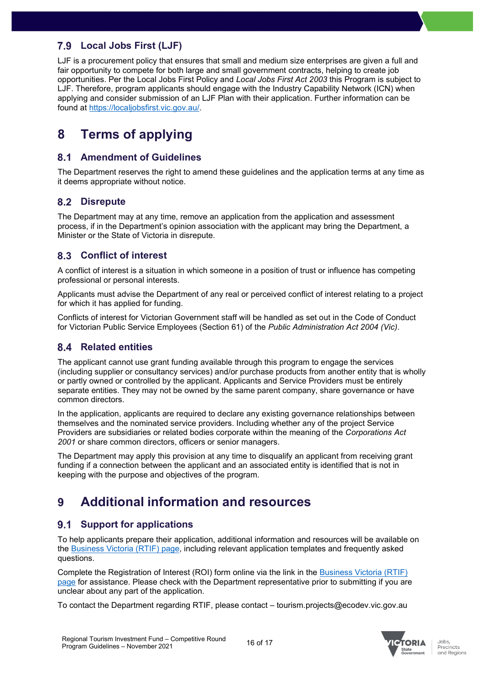## <span id="page-15-0"></span>**Local Jobs First (LJF)**

LJF is a procurement policy that ensures that small and medium size enterprises are given a full and fair opportunity to compete for both large and small government contracts, helping to create job opportunities. Per the Local Jobs First Policy and *Local Jobs First Act 2003* this Program is subject to LJF. Therefore, program applicants should engage with the Industry Capability Network (ICN) when applying and consider submission of an LJF Plan with their application. Further information can be found at [https://localjobsfirst.vic.gov.au/.](https://localjobsfirst.vic.gov.au/)

## <span id="page-15-1"></span>**8 Terms of applying**

### <span id="page-15-2"></span>**Amendment of Guidelines**

The Department reserves the right to amend these guidelines and the application terms at any time as it deems appropriate without notice.

## <span id="page-15-3"></span>**Disrepute**

The Department may at any time, remove an application from the application and assessment process, if in the Department's opinion association with the applicant may bring the Department, a Minister or the State of Victoria in disrepute.

## <span id="page-15-4"></span>**Conflict of interest**

A conflict of interest is a situation in which someone in a position of trust or influence has competing professional or personal interests.

Applicants must advise the Department of any real or perceived conflict of interest relating to a project for which it has applied for funding.

Conflicts of interest for Victorian Government staff will be handled as set out in the Code of Conduct for Victorian Public Service Employees (Section 61) of the *Public Administration Act 2004 (Vic)*.

## <span id="page-15-5"></span>**Related entities**

The applicant cannot use grant funding available through this program to engage the services (including supplier or consultancy services) and/or purchase products from another entity that is wholly or partly owned or controlled by the applicant. Applicants and Service Providers must be entirely separate entities. They may not be owned by the same parent company, share governance or have common directors.

In the application, applicants are required to declare any existing governance relationships between themselves and the nominated service providers. Including whether any of the project Service Providers are subsidiaries or related bodies corporate within the meaning of the *Corporations Act 2001* or share common directors, officers or senior managers.

The Department may apply this provision at any time to disqualify an applicant from receiving grant funding if a connection between the applicant and an associated entity is identified that is not in keeping with the purpose and objectives of the program.

## <span id="page-15-6"></span>**9 Additional information and resources**

## <span id="page-15-7"></span>**Support for applications**

To help applicants prepare their application, additional information and resources will be available on the [Business Victoria \(RTIF\) page,](https://business.vic.gov.au/grants-and-programs/regional-tourism-investment-fund-competitive-round) including relevant application templates and frequently asked questions.

Complete the Registration of Interest (ROI) form online via the link in the [Business Victoria \(RTIF\)](https://business.vic.gov.au/grants-and-programs/regional-tourism-investment-fund-competitive-round)  [page](https://business.vic.gov.au/grants-and-programs/regional-tourism-investment-fund-competitive-round) for assistance. Please check with the Department representative prior to submitting if you are unclear about any part of the application.

To contact the Department regarding RTIF, please contact – tourism.projects@ecodev.vic.gov.au